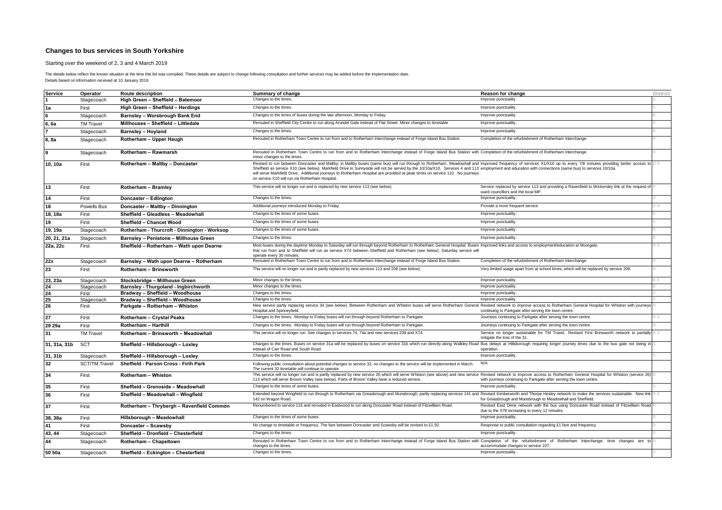Starting over the weekend of 2, 3 and 4 March 2019

| Service      | Operator             | <b>Route description</b>                     | Summary of change                                                                                                                                                                                                                                                                                                                                                                                                                                                                                                                                                                                            | <b>Reason for change</b>                                                                                                                 | <b>District</b> |
|--------------|----------------------|----------------------------------------------|--------------------------------------------------------------------------------------------------------------------------------------------------------------------------------------------------------------------------------------------------------------------------------------------------------------------------------------------------------------------------------------------------------------------------------------------------------------------------------------------------------------------------------------------------------------------------------------------------------------|------------------------------------------------------------------------------------------------------------------------------------------|-----------------|
|              | Stagecoach           | High Green - Sheffield - Batemoor            | Changes to the times.<br>Improve punctuality.                                                                                                                                                                                                                                                                                                                                                                                                                                                                                                                                                                |                                                                                                                                          |                 |
| 1a           | First                | High Green - Sheffield - Herdings            | Changes to the times.<br>Improve punctuality.                                                                                                                                                                                                                                                                                                                                                                                                                                                                                                                                                                |                                                                                                                                          |                 |
| <b>R</b>     | Stagecoach           | <b>Barnsley - Worsbrough Bank End</b>        | Changes to the times of buses during the late afternoon, Monday to Friday<br>Improve punctuality.                                                                                                                                                                                                                                                                                                                                                                                                                                                                                                            |                                                                                                                                          |                 |
| 6. 6a        | <b>TM Travel</b>     | Millhouses - Sheffield - Littledale          | Rerouted in Sheffield City Centre to run along Arundel Gate instead of Flat Street. Minor changes to timetable                                                                                                                                                                                                                                                                                                                                                                                                                                                                                               | Improve punctuality.                                                                                                                     |                 |
|              | Stagecoach           | <b>Barnsley - Hoyland</b>                    | Changes to the times.                                                                                                                                                                                                                                                                                                                                                                                                                                                                                                                                                                                        | Improve punctuality.                                                                                                                     |                 |
| 8, 8a        | Stagecoach           | Rotherham - Upper Haugh                      | Rerouted in Rotherham Town Centre to run from and to Rotherham Interchange instead of Forge Island Bus Station                                                                                                                                                                                                                                                                                                                                                                                                                                                                                               | Completion of the refurbishment of Rotherham Interchange.                                                                                |                 |
|              |                      |                                              |                                                                                                                                                                                                                                                                                                                                                                                                                                                                                                                                                                                                              |                                                                                                                                          |                 |
| $\mathbf{Q}$ | Stagecoach           | Rotherham - Rawmarsh                         | Rerouted in Rotherham Town Centre to run from and to Rotherham Interchange instead of Forge Island Bus Station with Completion of the refurbishment of Rotherham Interchange.<br>minor changes to the times.                                                                                                                                                                                                                                                                                                                                                                                                 |                                                                                                                                          |                 |
| 10.10a       | First                | Rotherham - Maltby - Doncaster               | Revised to run between Doncaster and Maltby; in Maltby buses (same bus) will run through to Rotherham, Meadowhall and Improved frequency of services X1/X10 up to every 7/8 minutes providing better access to DR<br>Sheffield as service X10 (see below). Markfield Drive in Sunnyside will not be served by the 10/10a/X10. Services 4 and 113 employment and education with connections (same bus) to services 10/10a.<br>will serve Markfield Drive. Additional journeys to Rotherham Hospital are provided at peak times on service 110. No journeys<br>on service X10 will run via Rotherham Hospital. |                                                                                                                                          |                 |
| 13           | First                | Rotherham - Bramley                          | This service will no longer run and is replaced by new service 113 (see below).                                                                                                                                                                                                                                                                                                                                                                                                                                                                                                                              | Service replaced by service 113 and providing a Ravenfield to Wickersley link at the request of<br>ward councillors and the local MP.    |                 |
| 14           | First                | Doncaster - Edlington                        | Changes to the times.                                                                                                                                                                                                                                                                                                                                                                                                                                                                                                                                                                                        | Improve punctuality.                                                                                                                     |                 |
| 18           | Powells Bus          | Doncaster - Maltby - Dinnington              | Additional journeys introduced Monday to Friday.                                                                                                                                                                                                                                                                                                                                                                                                                                                                                                                                                             | Provide a more frequent service                                                                                                          |                 |
| 18, 18a      | First                | Sheffield - Gleadless - Meadowhall           | Changes to the times of some buses                                                                                                                                                                                                                                                                                                                                                                                                                                                                                                                                                                           | Improve punctuality.                                                                                                                     |                 |
| 19           | First                | <b>Sheffield - Chancet Wood</b>              | Changes to the times of some buses.                                                                                                                                                                                                                                                                                                                                                                                                                                                                                                                                                                          | Improve punctuality.                                                                                                                     |                 |
| 19, 19a      | Stagecoach           | Rotherham - Thurcroft - Dinnington - Worksop | Changes to the times of some buses                                                                                                                                                                                                                                                                                                                                                                                                                                                                                                                                                                           | Improve punctuality.                                                                                                                     |                 |
| 20, 21, 21a  | Stagecoach           | Barnsley - Penistone - Millhouse Green       | Changes to the times.                                                                                                                                                                                                                                                                                                                                                                                                                                                                                                                                                                                        | Improve punctuality.                                                                                                                     |                 |
| 22a, 22c     | First                | Sheffield - Rotherham - Wath upon Dearne     | Most buses during the daytime Monday to Saturday will run through beyond Rotherham to Rotherham General Hospital. Buses Improved links and access to employment/education at Moorgate.<br>that run from and to Sheffield will run as service X74 between Sheffield and Rotherham (see below). Saturday service will<br>operate every 30 minutes                                                                                                                                                                                                                                                              |                                                                                                                                          |                 |
| 22x          | Stagecoach           | Barnsley - Wath upon Dearne - Rotherham      | Rerouted in Rotherham Town Centre to run from and to Rotherham Interchange instead of Forge Island Bus Station.                                                                                                                                                                                                                                                                                                                                                                                                                                                                                              | Completion of the refurbishment of Rotherham Interchange.                                                                                |                 |
| 23           | First                | Rotherham - Brinsworth                       | This service will no longer run and is partly replaced by new services 113 and 208 (see below).                                                                                                                                                                                                                                                                                                                                                                                                                                                                                                              | Very limited usage apart from at school times, which will be replaced by service 208.                                                    |                 |
| 23, 23a      | Stagecoach           | Stocksbridge - Millhouse Green               | Minor changes to the times.                                                                                                                                                                                                                                                                                                                                                                                                                                                                                                                                                                                  | Improve punctuality.                                                                                                                     |                 |
| 24           | Stagecoach           | Barnsley - Thurgoland - Ingbirchworth        | Minor changes to the times.                                                                                                                                                                                                                                                                                                                                                                                                                                                                                                                                                                                  | Improve punctuality.                                                                                                                     |                 |
| 24           | First                | Bradway - Sheffield - Woodhouse              | Changes to the times.                                                                                                                                                                                                                                                                                                                                                                                                                                                                                                                                                                                        | Improve punctuality                                                                                                                      |                 |
| 25           | Stagecoach           | Bradway - Sheffield - Woodhouse              | Changes to the times.                                                                                                                                                                                                                                                                                                                                                                                                                                                                                                                                                                                        | Improve punctuality.                                                                                                                     |                 |
| 26           | First                | Parkgate - Rotherham - Whiston               | New service partly replacing service 34 (see below). Between Rotherham and Whiston buses will serve Rotherham General Revised network to improve access to Rotherham General Hospital for Whiston with journeys<br>Hospital and Spinneyfield.                                                                                                                                                                                                                                                                                                                                                                | continuing to Parkgate after serving the town centre.                                                                                    |                 |
| 27           | First                | Rotherham - Crystal Peaks                    | Changes to the times. Monday to Friday buses will run through beyond Rotherham to Parkgate                                                                                                                                                                                                                                                                                                                                                                                                                                                                                                                   | Journeys continuing to Parkgate after serving the town centre                                                                            |                 |
| 29 29a       | First                | Rotherham - Harthill                         | Changes to the times. Monday to Friday buses will run through beyond Rotherham to Parkgate.                                                                                                                                                                                                                                                                                                                                                                                                                                                                                                                  | Journeys continuing to Parkgate after serving the town centre.                                                                           |                 |
| 31           | <b>TM Travel</b>     | Rotherham - Brinsworth - Meadowhall          | This service will no longer run. See changes to services 74, 74a and new services 208 and X74.                                                                                                                                                                                                                                                                                                                                                                                                                                                                                                               | Service no longer sustainable for TM Travel. Revised First Brinsworth network to partially<br>mitigate the loss of the 31.               |                 |
| 31, 31a, 31b | <b>SCT</b>           | Sheffield - Hillsborough - Loxley            | Changes to the times. Buses on service 31a will be replaced by buses on service 31b which run directly along Walkley Road Bus delays at Hillsborough requiring longer journey times due to the bus gate not being in<br>instead of Carr Road and South Road.                                                                                                                                                                                                                                                                                                                                                 | operation                                                                                                                                |                 |
| 31, 31b      | Stagecoach           | Sheffield - Hillsborough - Loxley            | Changes to the times.                                                                                                                                                                                                                                                                                                                                                                                                                                                                                                                                                                                        | Improve punctuality.                                                                                                                     |                 |
| 32           | <b>SCT/TM Travel</b> | Sheffield - Parson Cross - Firth Park        | Following public consultation about potential changes to service 32, no changes to the service will be implemented in March.<br>The current 32 timetable will continue to operate                                                                                                                                                                                                                                                                                                                                                                                                                            | N/A                                                                                                                                      |                 |
| 34           | First                | Rotherham - Whiston                          | This service will no longer run and is partly replaced by new service 26 which will serve Whiston (see above) and new service Revised network to improve access to Rotherham General Hospital for Whiston (service 26)<br>113 which will serve Broom Valley (see below). Parts of Broom Valley have a reduced service.                                                                                                                                                                                                                                                                                       | with journeys continuing to Parkgate after serving the town centre.                                                                      |                 |
| 35           | First                | Sheffield - Grenoside - Meadowhall           | Changes to the times of some buses.                                                                                                                                                                                                                                                                                                                                                                                                                                                                                                                                                                          | Improve punctuality.                                                                                                                     |                 |
| 36           | First                | Sheffield - Meadowhall - Wingfield           | Extended beyond Wingfield to run through to Rotherham via Greasbrough and Munsbrough, partly replacing services 141 and Revised Kimberworth and Thorpe Hesley network to make the services sustainable. New link R S<br>142 on Wagon Road.                                                                                                                                                                                                                                                                                                                                                                   | for Greasbrough and Munsbrough to Meadowhall and Sheffield.                                                                              |                 |
| 37           | First                | Rotherham - Thrybergh - Ravenfield Common    | Renumbered to service 116 and rerouted in Eastwood to run along Doncaster Road instead of Fitzwilliam Road.                                                                                                                                                                                                                                                                                                                                                                                                                                                                                                  | Revised East Dene network with the bus using Doncaster Road instead of Fitzwilliam Road<br>due to the X78 increasing to every 12 minutes |                 |
| 38, 38a      | First                | Hillsborough - Meadowhall                    | Changes to the times of some buses.                                                                                                                                                                                                                                                                                                                                                                                                                                                                                                                                                                          | Improve punctuality.                                                                                                                     |                 |
| 41           | First                | Doncaster - Scawsby                          | No change to timetable or frequency. The fare between Doncaster and Scawsby will be revised to £1.50.                                                                                                                                                                                                                                                                                                                                                                                                                                                                                                        | Response to public consultation regarding £1 fare and frequency.                                                                         |                 |
| 43, 44       | Stagecoach           | Sheffield - Dronfield - Chesterfield         | Changes to the times.                                                                                                                                                                                                                                                                                                                                                                                                                                                                                                                                                                                        | Improve punctuality.                                                                                                                     |                 |
| 44           | Stagecoach           | Rotherham - Chapeltown                       | Rerouted in Rotherham Town Centre to run from and to Rotherham Interchange instead of Forge Island Bus Station with Completion of the refurbishment of Rotherham Interchange; time changes are to<br>changes to the times.                                                                                                                                                                                                                                                                                                                                                                                   | accommodate changes to service 107.                                                                                                      |                 |
| 50 50a       | Stagecoach           | Sheffield - Eckington - Chesterfield         | Changes to the times.                                                                                                                                                                                                                                                                                                                                                                                                                                                                                                                                                                                        | Improve punctuality.                                                                                                                     |                 |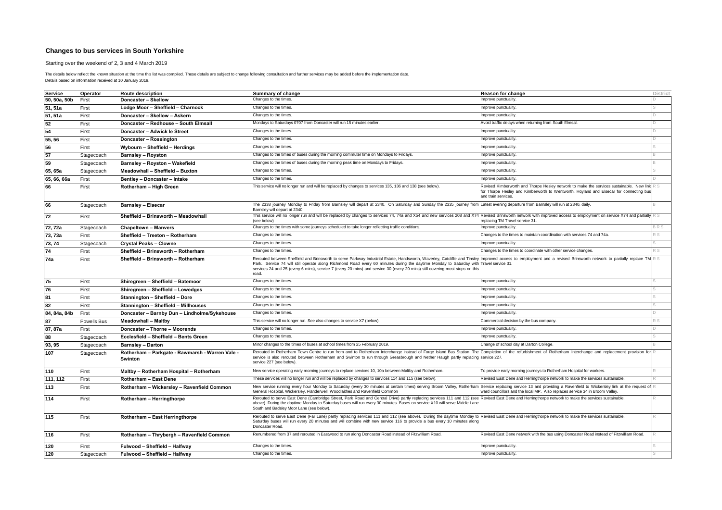Starting over the weekend of 2, 3 and 4 March 2019

| <b>Service</b> | Operator    | Route description                                          | Summary of change                                                                                                                                                                                                                                                                                                                                                                                                                                                                                   | Reason for change                                                                                                                                                                                        | <b>District</b> |
|----------------|-------------|------------------------------------------------------------|-----------------------------------------------------------------------------------------------------------------------------------------------------------------------------------------------------------------------------------------------------------------------------------------------------------------------------------------------------------------------------------------------------------------------------------------------------------------------------------------------------|----------------------------------------------------------------------------------------------------------------------------------------------------------------------------------------------------------|-----------------|
| 50, 50a, 50b   | First       | Doncaster - Skellow                                        | Changes to the times.                                                                                                                                                                                                                                                                                                                                                                                                                                                                               | Improve punctuality                                                                                                                                                                                      |                 |
| 51, 51a        | First       | Lodge Moor - Sheffield - Charnock                          | Changes to the times.                                                                                                                                                                                                                                                                                                                                                                                                                                                                               | Improve punctuality                                                                                                                                                                                      |                 |
| 51, 51a        | First       | Doncaster - Skellow - Askern                               | Changes to the times.                                                                                                                                                                                                                                                                                                                                                                                                                                                                               | Improve punctuality.                                                                                                                                                                                     |                 |
| 52             | First       | Doncaster - Redhouse - South Elmsall                       | Mondays to Saturdays 0707 from Doncaster will run 15 minutes earlier.                                                                                                                                                                                                                                                                                                                                                                                                                               | Avoid traffic delays when returning from South Elmsall                                                                                                                                                   |                 |
| 54             | First       | Doncaster - Adwick le Street                               | Changes to the times.                                                                                                                                                                                                                                                                                                                                                                                                                                                                               | Improve punctuality.                                                                                                                                                                                     |                 |
| 55, 56         | First       | Doncaster - Rossington                                     | Changes to the times.                                                                                                                                                                                                                                                                                                                                                                                                                                                                               | Improve punctuality.                                                                                                                                                                                     |                 |
| 56             | First       | Wybourn - Sheffield - Herdings                             | Changes to the times.                                                                                                                                                                                                                                                                                                                                                                                                                                                                               | Improve punctuality.                                                                                                                                                                                     |                 |
| 57             | Stagecoach  | <b>Barnsley - Royston</b>                                  | Changes to the times of buses during the morning commuter time on Mondays to Fridays.                                                                                                                                                                                                                                                                                                                                                                                                               | Improve punctuality.                                                                                                                                                                                     |                 |
| 59             | Stagecoach  | Barnsley - Royston - Wakefield                             | Changes to the times of buses during the morning peak time on Mondays to Fridays.                                                                                                                                                                                                                                                                                                                                                                                                                   | Improve punctuality.                                                                                                                                                                                     |                 |
| 65, 65a        | Stagecoach  | Meadowhall - Sheffield - Buxton                            | Changes to the times.                                                                                                                                                                                                                                                                                                                                                                                                                                                                               | Improve punctuality.                                                                                                                                                                                     |                 |
| 65, 66, 66a    | First       | Bentley - Doncaster - Intake                               | Changes to the times.                                                                                                                                                                                                                                                                                                                                                                                                                                                                               | Improve punctuality.                                                                                                                                                                                     |                 |
| 66             | First       | Rotherham - High Green                                     | This service will no longer run and will be replaced by changes to services 135, 136 and 138 (see below)                                                                                                                                                                                                                                                                                                                                                                                            | Revised Kimberworth and Thorpe Hesley network to make the services sustainable. New link<br>for Thorpe Hesley and Kimberworth to Wentworth, Hoyland and Elsecar for connecting bus<br>and train services | RS              |
| 66             | Stagecoach  | <b>Barnsley - Elsecar</b>                                  | The 2338 journey Monday to Friday from Barnsley will depart at 2340. On Saturday and Sunday the 2335 journey from Latest evening departure from Barnsley will run at 2340, daily.<br>Barnsley will depart at 2340.                                                                                                                                                                                                                                                                                  |                                                                                                                                                                                                          |                 |
| 72             | First       | Sheffield - Brinsworth - Meadowhall                        | This service will no longer run and will be replaced by changes to services 74, 74a and X54 and new services 208 and X74 Revised Brinsworth network with improved access to employment on service X74 and partially<br>(see below)                                                                                                                                                                                                                                                                  | replacing TM Travel service 31                                                                                                                                                                           |                 |
| 72.72a         | Stagecoach  | <b>Chapeltown - Manvers</b>                                | Changes to the times with some journeys scheduled to take longer reflecting traffic conditions.                                                                                                                                                                                                                                                                                                                                                                                                     | Improve punctuality                                                                                                                                                                                      | RS              |
| 73, 73a        | First       | Sheffield - Treeton - Rotherham                            | Changes to the times.                                                                                                                                                                                                                                                                                                                                                                                                                                                                               | Changes to the times to maintain coordination with services 74 and 74a.                                                                                                                                  |                 |
| 73, 74         | Stagecoach  | <b>Crystal Peaks - Clowne</b>                              | Changes to the times.                                                                                                                                                                                                                                                                                                                                                                                                                                                                               | Improve punctuality.                                                                                                                                                                                     |                 |
| 74             | First       | Sheffield - Brinsworth - Rotherham                         | Changes to the times.                                                                                                                                                                                                                                                                                                                                                                                                                                                                               | Changes to the times to coordinate with other service changes.                                                                                                                                           |                 |
| 74a            | First       | Sheffield - Brinsworth - Rotherham                         | Rerouted between Sheffield and Brinsworth to serve Parkway Industrial Estate, Handsworth, Waverley, Catcliffe and Tinsley Improved access to employment and a revised Brinsworth network to partially replace TM<br>Park. Service 74 will still operate along Richmond Road every 60 minutes during the daytime Monday to Saturday with Travel service 31.<br>services 24 and 25 (every 6 mins), service 7 (every 20 mins) and service 30 (every 20 mins) still covering most stops on this<br>road |                                                                                                                                                                                                          |                 |
| 75             | First       | Shiregreen - Sheffield - Batemoor                          | Changes to the times.                                                                                                                                                                                                                                                                                                                                                                                                                                                                               | Improve punctuality                                                                                                                                                                                      |                 |
| 76             | First       | Shiregreen - Sheffield - Lowedges                          | Changes to the times.                                                                                                                                                                                                                                                                                                                                                                                                                                                                               | Improve punctuality                                                                                                                                                                                      |                 |
| 81             | First       | Stannington - Sheffield - Dore                             | Changes to the times.                                                                                                                                                                                                                                                                                                                                                                                                                                                                               | Improve punctuality.                                                                                                                                                                                     |                 |
| 82             | First       | Stannington - Sheffield - Millhouses                       | Changes to the times.                                                                                                                                                                                                                                                                                                                                                                                                                                                                               | Improve punctuality                                                                                                                                                                                      |                 |
| 84, 84a, 84b   | First       | Doncaster - Barnby Dun - Lindholme/Sykehouse               | Changes to the times.                                                                                                                                                                                                                                                                                                                                                                                                                                                                               | Improve punctuality.                                                                                                                                                                                     |                 |
|                | Powells Bus | <b>Meadowhall - Maltby</b>                                 | This service will no longer run. See also changes to service X7 (below).                                                                                                                                                                                                                                                                                                                                                                                                                            | Commercial decision by the bus company                                                                                                                                                                   |                 |
| 87, 87a        | First       | Doncaster - Thorne - Moorends                              | Changes to the times.                                                                                                                                                                                                                                                                                                                                                                                                                                                                               | Improve punctuality                                                                                                                                                                                      |                 |
| 88             | Stagecoach  | Ecclesfield - Sheffield - Bents Green                      | Changes to the times.                                                                                                                                                                                                                                                                                                                                                                                                                                                                               | Improve punctuality.                                                                                                                                                                                     |                 |
| 93, 95         | Stagecoach  | <b>Barnsley - Darton</b>                                   | Minor changes to the times of buses at school times from 25 February 2019.                                                                                                                                                                                                                                                                                                                                                                                                                          | Change of school day at Darton College                                                                                                                                                                   |                 |
| 107            | Stagecoach  | Rotherham - Parkgate - Rawmarsh - Warren Vale -<br>Swinton | Rerouted in Rotherham Town Centre to run from and to Rotherham Interchange instead of Forge Island Bus Station The Completion of the refurbishment of Rotherham Interchange and replacement provision for<br>service is also rerouted between Rotherham and Swinton to run through Greasbrough and Nether Haugh partly replacing service 227.<br>service 227 (see below).                                                                                                                           |                                                                                                                                                                                                          |                 |
| 110            | First       | Maltby - Rotherham Hospital - Rotherham                    | New service operating early morning journeys to replace services 10, 10a between Maltby and Rotherham.                                                                                                                                                                                                                                                                                                                                                                                              | To provide early morning journeys to Rotherham Hospital for workers.                                                                                                                                     |                 |
| 111, 112       | First       | <b>Rotherham - East Dene</b>                               | These services will no longer run and will be replaced by changes to services 114 and 115 (see below).                                                                                                                                                                                                                                                                                                                                                                                              | Revised East Dene and Herringthorpe network to make the services sustainable.                                                                                                                            |                 |
| 113            | First       | Rotherham - Wickersley - Ravenfield Common                 | New service running every hour Monday to Saturday (every 30 minutes at certain times) serving Broom Valley, Rotherham Service replacing service 13 and providing a Ravenfield to Wickersley link at the request of<br>General Hospital, Wickersley, Flanderwell, Woodlaithes and Ravenfield Common                                                                                                                                                                                                  | ward councillors and the local MP. Also replaces service 34 in Broom Valley                                                                                                                              |                 |
| 114            | First       | Rotherham - Herringthorpe                                  | Rerouted to serve East Dene (Cambridge Street, Park Road and Central Drive) partly replacing services 111 and 112 (see Revised East Dene and Herringthorpe network to make the services sustainable<br>above). During the daytime Monday to Saturday buses will run every 30 minutes. Buses on service X10 will serve Middle Lane<br>South and Badsley Moor Lane (see below).                                                                                                                       |                                                                                                                                                                                                          |                 |
| 115            | First       | <b>Rotherham - East Herringthorpe</b>                      | Rerouted to serve East Dene (Far Lane) partly replacing services 111 and 112 (see above). During the daytime Monday to Revised East Dene and Herringthorpe network to make the services sustainable.<br>Saturday buses will run every 20 minutes and will combine with new service 116 to provide a bus every 10 minutes along<br>Doncaster Road                                                                                                                                                    |                                                                                                                                                                                                          |                 |
| 116            | First       | Rotherham - Thrybergh - Ravenfield Common                  | Renumbered from 37 and rerouted in Eastwood to run along Doncaster Road instead of Fitzwilliam Road.                                                                                                                                                                                                                                                                                                                                                                                                | Revised East Dene network with the bus using Doncaster Road instead of Fitzwilliam Road.                                                                                                                 |                 |
| 120            | First       | Fulwood - Sheffield - Halfway                              | Changes to the times.                                                                                                                                                                                                                                                                                                                                                                                                                                                                               | Improve punctuality.                                                                                                                                                                                     |                 |
| 120            | Stagecoach  | Fulwood - Sheffield - Halfway                              | Changes to the times.                                                                                                                                                                                                                                                                                                                                                                                                                                                                               | Improve punctuality.                                                                                                                                                                                     |                 |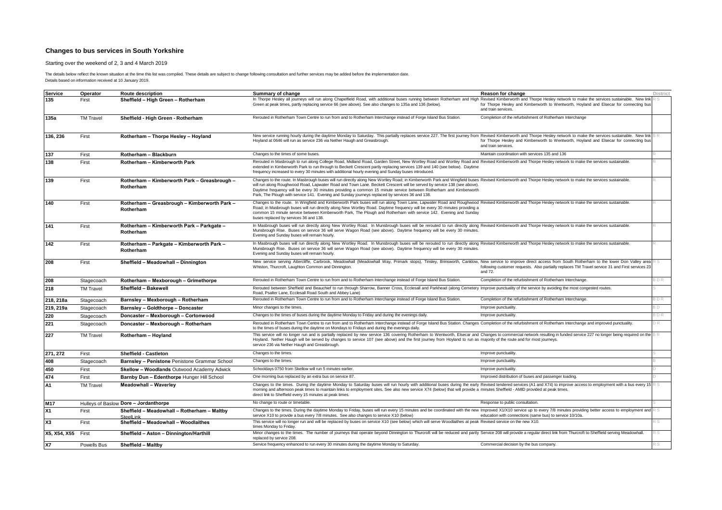Starting over the weekend of 2, 3 and 4 March 2019

| <b>Service</b>     | Operator         | <b>Route description</b>                                  | Summary of change                                                                                                                                                                                                                                                                                                                                                                                                                                                                                                                                             | Reason for change                                                                                             | District  |
|--------------------|------------------|-----------------------------------------------------------|---------------------------------------------------------------------------------------------------------------------------------------------------------------------------------------------------------------------------------------------------------------------------------------------------------------------------------------------------------------------------------------------------------------------------------------------------------------------------------------------------------------------------------------------------------------|---------------------------------------------------------------------------------------------------------------|-----------|
| 135                | First            | Sheffield - High Green - Rotherham                        | In Thorpe Hesley all journeys will run along Chapelfield Road, with additional buses running between Rotherham and High Revised Kimberworth and Thorpe Hesley network to make the services sustainable. New link<br>Green at peak times, partly replacing service 66 (see above). See also changes to 135a and 136 (below).                                                                                                                                                                                                                                   | for Thorpe Hesley and Kimberworth to Wentworth, Hoyland and Elsecar for connecting but<br>and train services. |           |
| 135a               | <b>TM Travel</b> | Sheffield - High Green - Rotherham                        | Rerouted in Rotherham Town Centre to run from and to Rotherham Interchange instead of Forge Island Bus Station.                                                                                                                                                                                                                                                                                                                                                                                                                                               | Completion of the refurbishment of Rotherham Interchange                                                      |           |
| 136, 236           | First            | Rotherham - Thorpe Hesley - Hoyland                       | New service running hourly during the daytime Monday to Saturday. This partially replaces service 227. The first journey from Revised Kimberworth and Thorpe Hesley network to make the services sustainable. New link BR<br>Hoyland at 0646 will run as service 236 via Nether Haugh and Greasbrough.                                                                                                                                                                                                                                                        | for Thorpe Hesley and Kimberworth to Wentworth, Hoyland and Elsecar for connecting bus<br>and train services. |           |
| 137                | First            | Rotherham - Blackburn                                     | Changes to the times of some buses.                                                                                                                                                                                                                                                                                                                                                                                                                                                                                                                           | Maintain coordination with services 135 and 136                                                               |           |
| 138                | First            | Rotherham - Kimberworth Park                              | Rerouted in Masbrough to run along College Road, Midland Road, Garden Street, New Wortley Road and Wortley Road and Revised Kimberworth and Thorpe Hesley network to make the services sustainable<br>extended in Kimberworth Park to run through to Beckett Crescent partly replacing services 139 and 140 (see below). Daytime<br>frequency increased to every 30 minutes with additional hourly evening and Sunday buses introduced.                                                                                                                       |                                                                                                               |           |
| 139                | First            | Rotherham - Kimberworth Park - Greasbrough -<br>Rotherham | Changes to the route. In Masbrough buses will run directly along New Wortley Road; in Kimberworth Park and Wingfield buses Revised Kimberworth and Thorpe Hesley network to make the services sustainable.<br>will run along Roughwood Road, Lapwater Road and Town Lane. Beckett Crescent will be served by service 138 (see above).<br>Daytime frequency will be every 30 minutes providing a common 15 minute service between Rotherham and Kimberworth<br>Park, The Plough with service 141. Evening and Sunday journeys replaced by services 36 and 138. |                                                                                                               |           |
| 140                | First            | Rotherham - Greasbrough - Kimberworth Park -<br>Rotherham | Changes to the route. In Wingfield and Kimberworth Park buses will run along Town Lane, Lapwater Road and Roughwood Revised Kimberworth and Thorpe Hesley network to make the services sustainable<br>Road: in Masbrough buses will run directly along New Wortley Road. Daytime frequency will be every 30 minutes providing a<br>common 15 minute service between Kimberworth Park, The Plough and Rotherham with service 142. Evening and Sunday<br>buses replaced by services 36 and 138.                                                                 |                                                                                                               |           |
| 141                | First            | Rotherham - Kimberworth Park - Parkgate -<br>Rotherham    | In Masbrough buses will run directly along New Wortley Road. In Munsbrough buses will be rerouted to run directly along Revised Kimberworth and Thorpe Hesley network to make the services sustainable<br>Munsbrough Rise. Buses on service 36 will serve Wagon Road (see above). Daytime frequency will be every 30 minutes.<br>Evening and Sunday buses will remain hourly.                                                                                                                                                                                 |                                                                                                               |           |
| 142                | First            | Rotherham - Parkgate - Kimberworth Park -<br>Rotherham    | In Masbrough buses will run directly along New Wortley Road. In Munsbrough buses will be rerouted to run directly along Revised Kimberworth and Thorpe Hesley network to make the services sustainable.<br>Munsbrough Rise. Buses on service 36 will serve Wagon Road (see above). Daytime frequency will be every 30 minutes.<br>Evening and Sunday buses will remain hourly.                                                                                                                                                                                |                                                                                                               |           |
| 208                | First            | Sheffield - Meadowhall - Dinnington                       | New service serving Attercliffe, Carbrook, Meadowhall (Meadowhall Way, Primark stops), Tinsley, Brinsworth, Canklow, New service to improve direct access from South Rotherham to the lower Don Valley area<br>Whiston, Thurcroft, Laughton Common and Dinnington.                                                                                                                                                                                                                                                                                            | following customer requests. Also partially replaces TM Travel service 31 and First services 23<br>and 72.    | R SI      |
| 208                | Stagecoach       | Rotherham - Mexborough - Grimethorpe                      | Rerouted in Rotherham Town Centre to run from and to Rotherham Interchange instead of Forge Island Bus Station.                                                                                                                                                                                                                                                                                                                                                                                                                                               | Completion of the refurbishment of Rotherham Interchange.                                                     | 3 D R     |
| 218                | <b>TM Travel</b> | Sheffield - Bakewell                                      | Rerouted between Sheffield and Beauchief to run through Sharrow, Banner Cross, Ecclesall and Parkhead (along Cemetery Improve punctuality of the service by avoiding the most congested routes.<br>Road, Psalter Lane, Ecclesall Road South and Abbey Lane)                                                                                                                                                                                                                                                                                                   |                                                                                                               |           |
| 218, 218a          | Stagecoach       | Barnsley - Mexborough - Rotherham                         | Rerouted in Rotherham Town Centre to run from and to Rotherham Interchange instead of Forge Island Bus Station.                                                                                                                                                                                                                                                                                                                                                                                                                                               | Completion of the refurbishment of Rotherham Interchange.                                                     | <b>DR</b> |
| 219, 219a          | Stagecoach       | <b>Barnsley - Goldthorpe - Doncaster</b>                  | Minor changes to the times.                                                                                                                                                                                                                                                                                                                                                                                                                                                                                                                                   | Improve punctuality                                                                                           |           |
| 220                | Stagecoach       | Doncaster - Mexborough - Cortonwood                       | Changes to the times of buses during the daytime Monday to Friday and during the evenings daily                                                                                                                                                                                                                                                                                                                                                                                                                                                               | Improve punctuality                                                                                           | BDR       |
| 221                | Stagecoach       | Doncaster - Mexborough - Rotherham                        | Rerouted in Rotherham Town Centre to run from and to Rotherham Interchange instead of Forge Island Bus Station. Changes Completion of the refurbishment of Rotherham Interchange and improved punctuality.<br>to the times of buses during the daytime on Mondays to Fridays and during the evenings daily.                                                                                                                                                                                                                                                   |                                                                                                               | ) R       |
| 227                | <b>TM Travel</b> | Rotherham - Hoyland                                       | This service will no longer run and is partially replaced by new service 136 covering Rotherham to Wentworth, Elsecar and Changes to commercial network resulting in funded service 227 no longer being required on the BR<br>Hoyland. Nether Haugh will be served by changes to service 107 (see above) and the first journey from Hoyland to run as majority of the route and for most journeys.<br>service 236 via Nether Haugh and Greasbrough.                                                                                                           |                                                                                                               |           |
| 271, 272           | First            | <b>Sheffield - Castleton</b>                              | Changes to the times.                                                                                                                                                                                                                                                                                                                                                                                                                                                                                                                                         | Improve punctuality                                                                                           |           |
| 408                | Stagecoach       | Barnsley - Penistone Penistone Grammar School             | Changes to the times.                                                                                                                                                                                                                                                                                                                                                                                                                                                                                                                                         | Improve punctuality                                                                                           |           |
| 450                | First            | Skellow - Woodlands Outwood Academy Adwick                | Schooldays 0750 from Skellow will run 5 minutes earlier.                                                                                                                                                                                                                                                                                                                                                                                                                                                                                                      | Improve punctuality.                                                                                          |           |
| 474                | First            | Barnby Dun - Edenthorpe Hunger Hill School                | One morning bus replaced by an extra bus on service 87.                                                                                                                                                                                                                                                                                                                                                                                                                                                                                                       | Improved distribution of buses and passenger loading.                                                         |           |
| A1                 | <b>TM Travel</b> | <b>Meadowhall - Waverley</b>                              | Changes to the times. During the daytime Monday to Saturday buses will run hourly with additional buses during the early Revised tendered services (A1 and X74) to improve access to employment with a bus every 15 R S<br>morning and afternoon peak times to maintain links to employment sites. See also new service X74 (below) that will provide a minutes Sheffield - AMID provided at peak times.<br>direct link to Sheffield every 15 minutes at peak times.                                                                                          |                                                                                                               |           |
| M17                |                  | Hulleys of Baslow Dore - Jordanthorpe                     | No change to route or timetable.                                                                                                                                                                                                                                                                                                                                                                                                                                                                                                                              | Response to public consultation.                                                                              |           |
| <b>X1</b>          | First            | Sheffield - Meadowhall - Rotherham - Maltby<br>SteelLink  | Changes to the times. During the daytime Monday to Friday, buses will run every 15 minutes and be coordinated with the new Improved X1/X10 service up to every 7/8 minutes providing better access to employment and R S<br>service X10 to provide a bus every 7/8 minutes. See also changes to service X10 (below)                                                                                                                                                                                                                                           | education with connections (same bus) to service 10/10a.                                                      |           |
| X <sub>3</sub>     | First            | Sheffield - Meadowhall - Woodlaithes                      | This service will no longer run and will be replaced by buses on service X10 (see below) which will serve Woodlaithes at peak Revised service on the new X10.<br>times Monday to Friday.                                                                                                                                                                                                                                                                                                                                                                      |                                                                                                               | R S       |
| X5, X54, X55 First |                  | Sheffield - Aston - Dinnington/Harthill                   | Minor changes to the times. The number of journeys that operate beyond Dinnington to Thurcroft will be reduced and partly Service 208 will provide a regular direct link from Thurcroft to Sheffield serving Meadowhall.<br>replaced by service 208.                                                                                                                                                                                                                                                                                                          |                                                                                                               | ιs        |
| <b>X7</b>          | Powells Bus      | Sheffield - Maltby                                        | Service frequency enhanced to run every 30 minutes during the daytime Monday to Saturday.                                                                                                                                                                                                                                                                                                                                                                                                                                                                     | Commercial decision by the bus company.                                                                       |           |